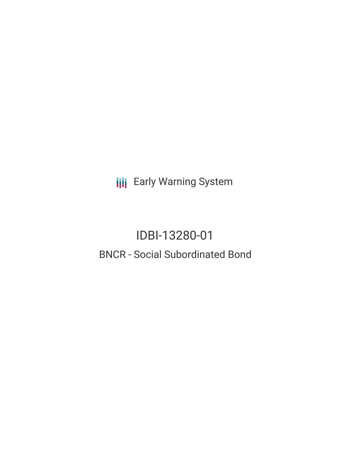**III** Early Warning System

# IDBI-13280-01 BNCR - Social Subordinated Bond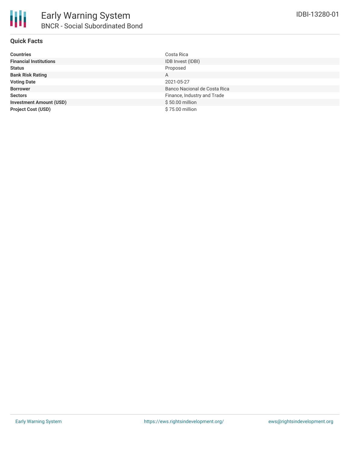

#### **Quick Facts**

| <b>Countries</b>               | Costa Rica                   |
|--------------------------------|------------------------------|
| <b>Financial Institutions</b>  | IDB Invest (IDBI)            |
| <b>Status</b>                  | Proposed                     |
| <b>Bank Risk Rating</b>        | A                            |
| <b>Voting Date</b>             | 2021-05-27                   |
| <b>Borrower</b>                | Banco Nacional de Costa Rica |
| <b>Sectors</b>                 | Finance, Industry and Trade  |
| <b>Investment Amount (USD)</b> | \$50.00 million              |
| <b>Project Cost (USD)</b>      | \$75.00 million              |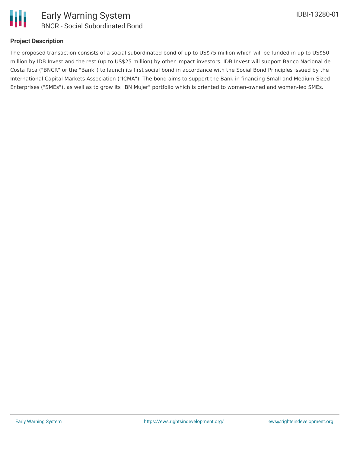

#### **Project Description**

The proposed transaction consists of a social subordinated bond of up to US\$75 million which will be funded in up to US\$50 million by IDB Invest and the rest (up to US\$25 million) by other impact investors. IDB Invest will support Banco Nacional de Costa Rica ("BNCR" or the "Bank") to launch its first social bond in accordance with the Social Bond Principles issued by the International Capital Markets Association ("ICMA"). The bond aims to support the Bank in financing Small and Medium-Sized Enterprises ("SMEs"), as well as to grow its "BN Mujer" portfolio which is oriented to women-owned and women-led SMEs.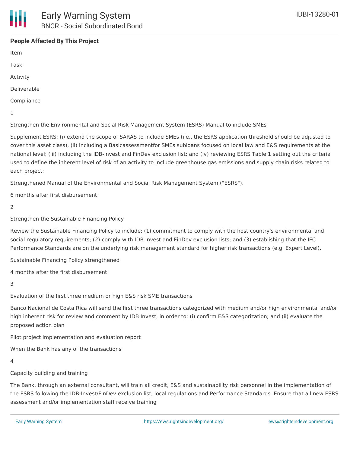### **People Affected By This Project**

Item

Task

Activity

Deliverable

Compliance

1

Strengthen the Environmental and Social Risk Management System (ESRS) Manual to include SMEs

Supplement ESRS: (i) extend the scope of SARAS to include SMEs (i.e., the ESRS application threshold should be adjusted to cover this asset class), (ii) including a Basicassessmentfor SMEs subloans focused on local law and E&S requirements at the national level; (iii) including the IDB-Invest and FinDev exclusion list; and (iv) reviewing ESRS Table 1 setting out the criteria used to define the inherent level of risk of an activity to include greenhouse gas emissions and supply chain risks related to each project;

Strengthened Manual of the Environmental and Social Risk Management System ("ESRS").

6 months after first disbursement

 $\mathcal{P}$ 

Strengthen the Sustainable Financing Policy

Review the Sustainable Financing Policy to include: (1) commitment to comply with the host country's environmental and social regulatory requirements; (2) comply with IDB Invest and FinDev exclusion lists; and (3) establishing that the IFC Performance Standards are on the underlying risk management standard for higher risk transactions (e.g. Expert Level).

Sustainable Financing Policy strengthened

4 months after the first disbursement

#### 3

Evaluation of the first three medium or high E&S risk SME transactions

Banco Nacional de Costa Rica will send the first three transactions categorized with medium and/or high environmental and/or high inherent risk for review and comment by IDB Invest, in order to: (i) confirm E&S categorization; and (ii) evaluate the proposed action plan

Pilot project implementation and evaluation report

When the Bank has any of the transactions

4

Capacity building and training

The Bank, through an external consultant, will train all credit, E&S and sustainability risk personnel in the implementation of the ESRS following the IDB-Invest/FinDev exclusion list, local regulations and Performance Standards. Ensure that all new ESRS assessment and/or implementation staff receive training

Certificate of training of the personnel in charge of the ESMS implementation and every time new staff is hired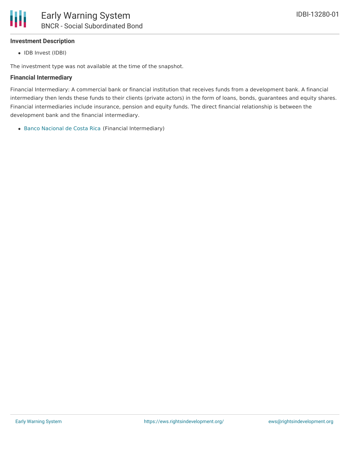#### **Investment Description**

Ш

• IDB Invest (IDBI)

The investment type was not available at the time of the snapshot.

#### **Financial Intermediary**

Financial Intermediary: A commercial bank or financial institution that receives funds from a development bank. A financial intermediary then lends these funds to their clients (private actors) in the form of loans, bonds, guarantees and equity shares. Financial intermediaries include insurance, pension and equity funds. The direct financial relationship is between the development bank and the financial intermediary.

Banco [Nacional](file:///actor/3920/) de Costa Rica (Financial Intermediary)